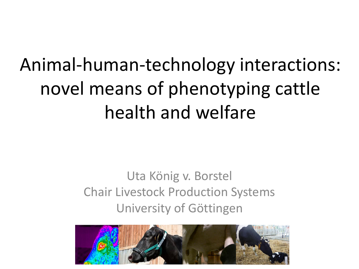#### Animal-human-technology interactions: novel means of phenotyping cattle health and welfare

#### Uta König v. Borstel Chair Livestock Production Systems University of Göttingen

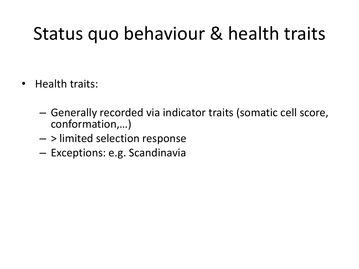#### Status quo behaviour & health traits

- Health traits:
	- Generally recorded via indicator traits (somatic cell score, conformation,…)
	- > limited selection response
	- Exceptions: e.g. Scandinavia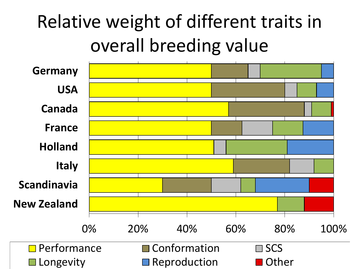#### Relative weight of different traits in overall breeding value

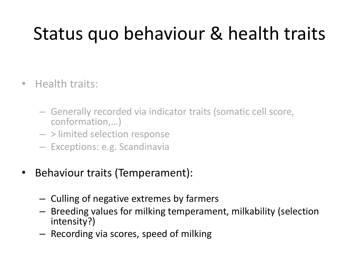#### Status quo behaviour & health traits

- Health traits:
	- Generally recorded via indicator traits (somatic cell score, conformation,…)
	- > limited selection response
	- Exceptions: e.g. Scandinavia
- Behaviour traits (Temperament):
	- Culling of negative extremes by farmers
	- Breeding values for milking temperament, milkability (selection intensity?)
	- Recording via scores, speed of milking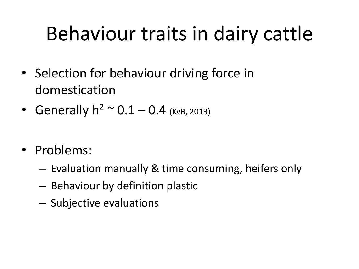# Behaviour traits in dairy cattle

- Selection for behaviour driving force in domestication
- Generally  $h^2 \sim 0.1 0.4$  (KvB, 2013)
- Problems:
	- Evaluation manually & time consuming, heifers only
	- Behaviour by definition plastic
	- Subjective evaluations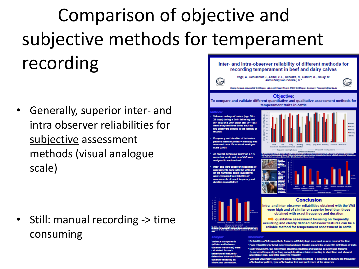Comparison of objective and subjective methods for temperament recording

• Generally, superior inter- and intra observer reliabilities for subjective assessment methods (visual analogue scale)

• Still: manual recording -> time consuming

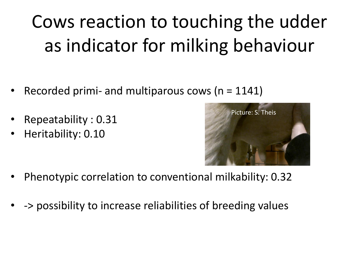### Cows reaction to touching the udder as indicator for milking behaviour

- Recorded primi- and multiparous cows  $(n = 1141)$
- Repeatability : 0.31
- Heritability: 0.10



- Phenotypic correlation to conventional milkability: 0.32
- -> possibility to increase reliabilities of breeding values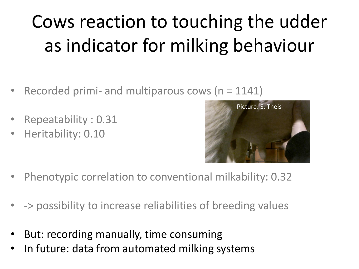# Cows reaction to touching the udder as indicator for milking behaviour

- Recorded primi- and multiparous cows (n = 1141)
- Repeatability : 0.31
- Heritability: 0.10



- Phenotypic correlation to conventional milkability: 0.32
- - > possibility to increase reliabilities of breeding values
- But: recording manually, time consuming
- In future: data from automated milking systems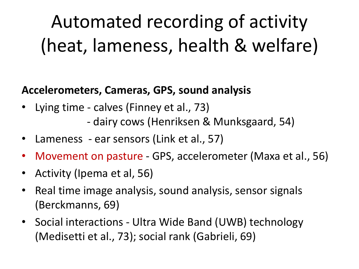## Automated recording of activity (heat, lameness, health & welfare)

#### **Accelerometers, Cameras, GPS, sound analysis**

• Lying time - calves (Finney et al., 73)

- dairy cows (Henriksen & Munksgaard, 54)

- Lameness ear sensors (Link et al., 57)
- Movement on pasture GPS, accelerometer (Maxa et al., 56)
- Activity (Ipema et al, 56)
- Real time image analysis, sound analysis, sensor signals (Berckmanns, 69)
- Social interactions Ultra Wide Band (UWB) technology (Medisetti et al., 73); social rank (Gabrieli, 69)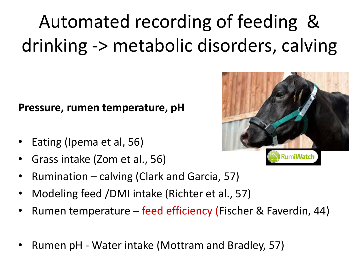# Automated recording of feeding & drinking -> metabolic disorders, calving

#### **Pressure, rumen temperature, pH**

- Eating (Ipema et al, 56)
- Grass intake (Zom et al., 56)
- Rumination calving (Clark and Garcia, 57)
- Modeling feed /DMI intake (Richter et al., 57)
- Rumen temperature feed efficiency (Fischer & Faverdin, 44)
- Rumen pH Water intake (Mottram and Bradley, 57)

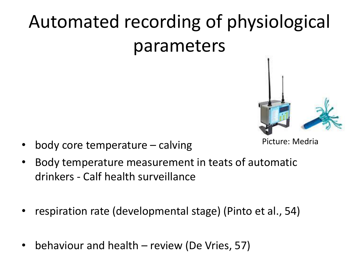# Automated recording of physiological parameters



Picture: Medria

- body core temperature  $-$  calving
- Body temperature measurement in teats of automatic drinkers - Calf health surveillance
- respiration rate (developmental stage) (Pinto et al., 54)
- behaviour and health review (De Vries, 57)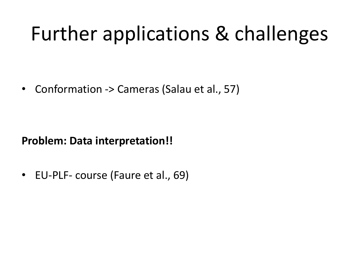### Further applications & challenges

• Conformation -> Cameras (Salau et al., 57)

**Problem: Data interpretation!!**

• EU-PLF- course (Faure et al., 69)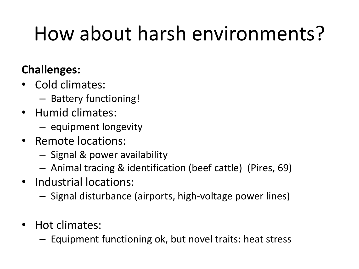# How about harsh environments?

#### **Challenges:**

- Cold climates:
	- Battery functioning!
- Humid climates:
	- equipment longevity
- Remote locations:
	- Signal & power availability
	- Animal tracing & identification (beef cattle) (Pires, 69)
- Industrial locations:
	- Signal disturbance (airports, high-voltage power lines)
- Hot climates:
	- Equipment functioning ok, but novel traits: heat stress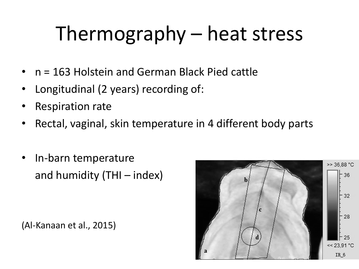# Thermography – heat stress

- n = 163 Holstein and German Black Pied cattle
- Longitudinal (2 years) recording of:
- **Respiration rate**
- Rectal, vaginal, skin temperature in 4 different body parts
- In-barn temperature and humidity (THI – index)

(Al-Kanaan et al., 2015)

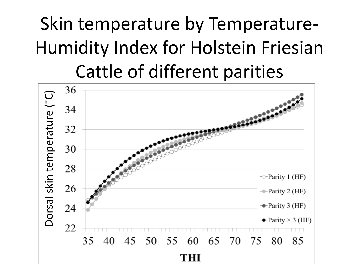## Skin temperature by Temperature-Humidity Index for Holstein Friesian Cattle of different parities

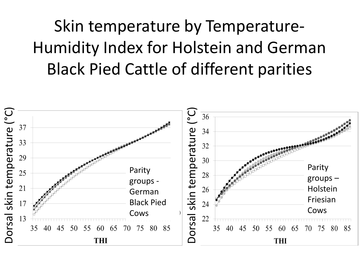Skin temperature by Temperature-Humidity Index for Holstein and German Black Pied Cattle of different parities

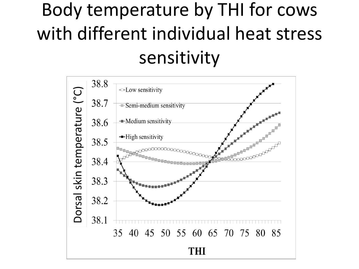#### Body temperature by THI for cows with different individual heat stress sensitivity

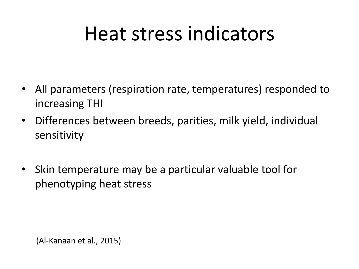#### Heat stress indicators

- All parameters (respiration rate, temperatures) responded to increasing THI
- Differences between breeds, parities, milk yield, individual sensitivity
- Skin temperature may be a particular valuable tool for phenotyping heat stress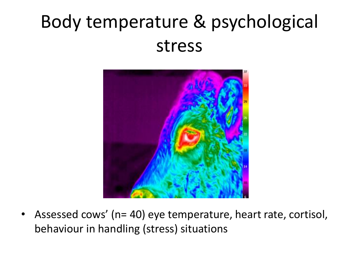#### Body temperature & psychological stress



• Assessed cows' (n= 40) eye temperature, heart rate, cortisol, behaviour in handling (stress) situations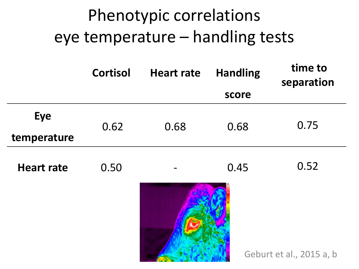#### Phenotypic correlations eye temperature – handling tests

|                   | <b>Cortisol</b> | <b>Heart rate</b> | <b>Handling</b> | time to<br>separation    |
|-------------------|-----------------|-------------------|-----------------|--------------------------|
|                   |                 |                   | score           |                          |
| <b>Eye</b>        | 0.62            | 0.68              | 0.68            | 0.75                     |
| temperature       |                 |                   |                 |                          |
| <b>Heart rate</b> | 0.50            |                   | 0.45            | 0.52                     |
|                   |                 |                   |                 |                          |
|                   |                 |                   |                 | Geburt et al., 2015 a, b |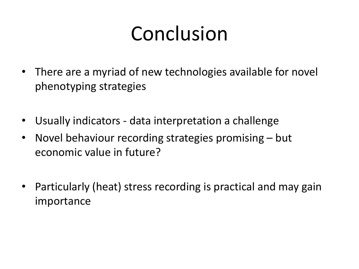# Conclusion

- There are a myriad of new technologies available for novel phenotyping strategies
- Usually indicators data interpretation a challenge
- Novel behaviour recording strategies promising but economic value in future?
- Particularly (heat) stress recording is practical and may gain importance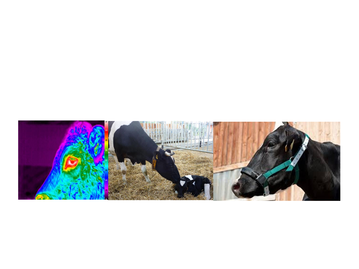